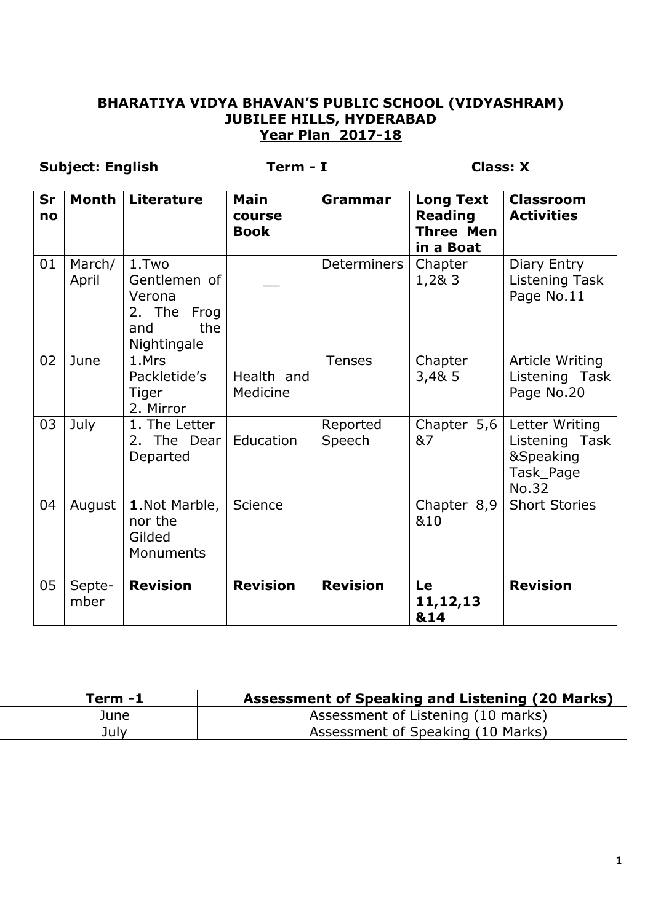#### **BHARATIYA VIDYA BHAVAN'S PUBLIC SCHOOL (VIDYASHRAM) JUBILEE HILLS, HYDERABAD Year Plan 2017-18**

## **Subject: English Term - I Class: X**

| Sr<br>no | <b>Month</b>    | <b>Literature</b>                                                           | <b>Main</b><br>course<br><b>Book</b> | Grammar            | <b>Long Text</b><br><b>Reading</b><br><b>Three Men</b><br>in a Boat | <b>Classroom</b><br><b>Activities</b>                               |
|----------|-----------------|-----------------------------------------------------------------------------|--------------------------------------|--------------------|---------------------------------------------------------------------|---------------------------------------------------------------------|
| 01       | March/<br>April | 1.Two<br>Gentlemen of<br>Verona<br>2. The Frog<br>the<br>and<br>Nightingale |                                      | Determiners        | Chapter<br>1,2& 3                                                   | Diary Entry<br>Listening Task<br>Page No.11                         |
| 02       | June            | 1.Mrs<br>Packletide's<br>Tiger<br>2. Mirror                                 | Health and<br>Medicine               | <b>Tenses</b>      | Chapter<br>3,48,5                                                   | Article Writing<br>Listening Task<br>Page No.20                     |
| 03       | July            | 1. The Letter<br>2. The Dear<br>Departed                                    | Education                            | Reported<br>Speech | Chapter 5,6<br>&7                                                   | Letter Writing<br>Listening Task<br>&Speaking<br>Task_Page<br>No.32 |
| 04       | August          | 1.Not Marble,<br>nor the<br>Gilded<br>Monuments                             | Science                              |                    | Chapter 8,9<br>&10                                                  | <b>Short Stories</b>                                                |
| 05       | Septe-<br>mber  | <b>Revision</b>                                                             | <b>Revision</b>                      | <b>Revision</b>    | Le<br>11, 12, 13<br>&14                                             | <b>Revision</b>                                                     |

| Term -1 | Assessment of Speaking and Listening (20 Marks) |
|---------|-------------------------------------------------|
| June    | Assessment of Listening (10 marks)              |
| July    | Assessment of Speaking (10 Marks)               |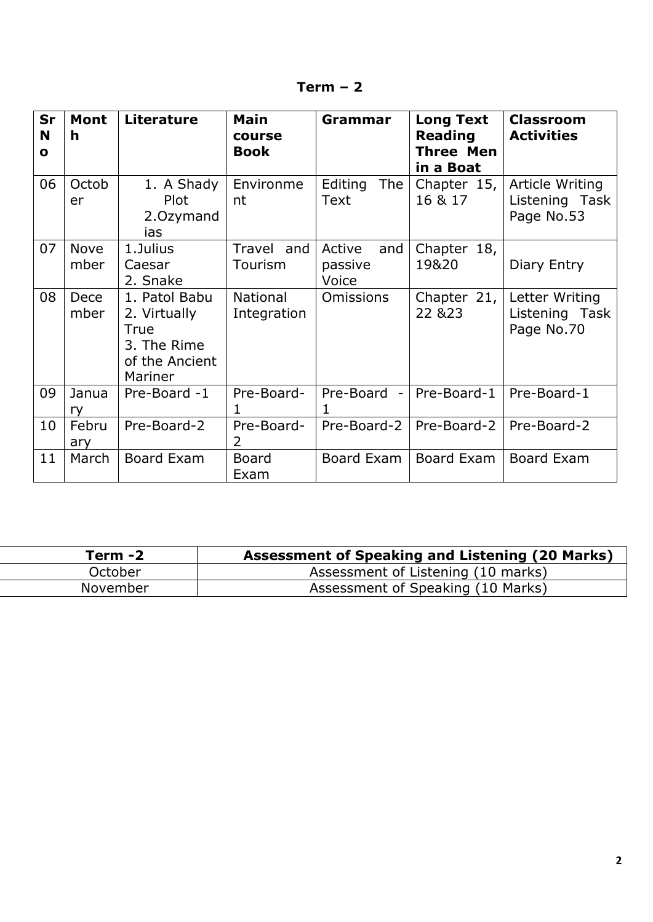| Sr<br>N<br>O | <b>Mont</b><br>h    | <b>Literature</b>                                                                 | <b>Main</b><br>course<br><b>Book</b> | <b>Grammar</b>                    | <b>Long Text</b><br><b>Reading</b><br><b>Three Men</b><br>in a Boat | <b>Classroom</b><br><b>Activities</b>           |
|--------------|---------------------|-----------------------------------------------------------------------------------|--------------------------------------|-----------------------------------|---------------------------------------------------------------------|-------------------------------------------------|
| 06           | Octob<br>er         | 1. A Shady<br><b>Plot</b><br>2.0zymand<br>ias                                     | Environme<br>nt                      | Editing<br><b>The</b><br>Text     | Chapter 15,<br>16 & 17                                              | Article Writing<br>Listening Task<br>Page No.53 |
| 07           | <b>Nove</b><br>mber | 1.Julius<br>Caesar<br>2. Snake                                                    | Travel and<br>Tourism                | Active<br>and<br>passive<br>Voice | Chapter 18,<br>19&20                                                | Diary Entry                                     |
| 08           | Dece<br>mber        | 1. Patol Babu<br>2. Virtually<br>True<br>3. The Rime<br>of the Ancient<br>Mariner | <b>National</b><br>Integration       | <b>Omissions</b>                  | Chapter 21,<br>22 & 23                                              | Letter Writing<br>Listening Task<br>Page No.70  |
| 09           | Janua<br>ry         | Pre-Board -1                                                                      | Pre-Board-<br>1                      | Pre-Board -<br>1                  | Pre-Board-1                                                         | Pre-Board-1                                     |
| 10           | Febru<br>ary        | Pre-Board-2                                                                       | Pre-Board-<br>$\overline{2}$         | Pre-Board-2                       | Pre-Board-2                                                         | Pre-Board-2                                     |
| 11           | March               | <b>Board Exam</b>                                                                 | <b>Board</b><br>Exam                 | Board Exam                        | Board Exam                                                          | <b>Board Exam</b>                               |

| Term -2      | <b>Assessment of Speaking and Listening (20 Marks)</b> |
|--------------|--------------------------------------------------------|
| .<br>October | Assessment of Listening (10 marks)                     |
| November     | Assessment of Speaking (10 Marks)                      |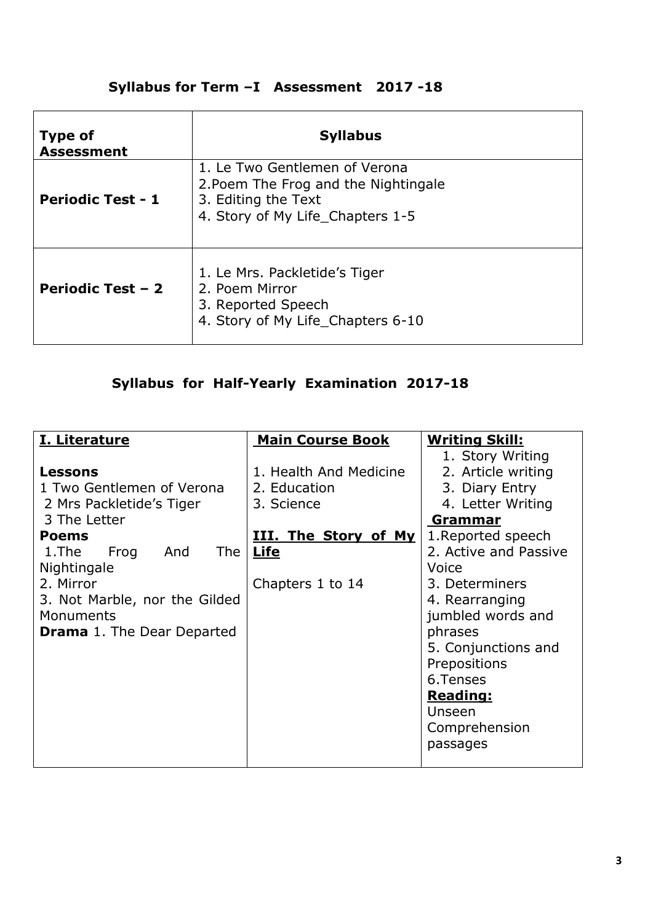## **Syllabus for Term –I Assessment 2017 -18**

| <b>Type of</b><br><b>Assessment</b> | <b>Syllabus</b>                                                                                                                  |
|-------------------------------------|----------------------------------------------------------------------------------------------------------------------------------|
| <b>Periodic Test - 1</b>            | 1. Le Two Gentlemen of Verona<br>2. Poem The Frog and the Nightingale<br>3. Editing the Text<br>4. Story of My Life_Chapters 1-5 |
| <b>Periodic Test - 2</b>            | 1. Le Mrs. Packletide's Tiger<br>2. Poem Mirror<br>3. Reported Speech<br>4. Story of My Life_Chapters 6-10                       |

# **Syllabus for Half-Yearly Examination 2017-18**

| I. Literature                     | <b>Main Course Book</b>     | <b>Writing Skill:</b> |
|-----------------------------------|-----------------------------|-----------------------|
|                                   |                             | 1. Story Writing      |
| <b>Lessons</b>                    | 1. Health And Medicine      | 2. Article writing    |
| 1 Two Gentlemen of Verona         | 2. Education                | 3. Diary Entry        |
| 2 Mrs Packletide's Tiger          | 3. Science                  | 4. Letter Writing     |
| 3 The Letter                      |                             | <u>Grammar</u>        |
| <b>Poems</b>                      | <u>III. The Story of My</u> | 1. Reported speech    |
| 1.The<br>The<br>And<br>Frog       | <b>Life</b>                 | 2. Active and Passive |
| Nightingale                       |                             | Voice                 |
| 2. Mirror                         | Chapters 1 to 14            | 3. Determiners        |
| 3. Not Marble, nor the Gilded     |                             | 4. Rearranging        |
| Monuments                         |                             | jumbled words and     |
| <b>Drama</b> 1. The Dear Departed |                             | phrases               |
|                                   |                             | 5. Conjunctions and   |
|                                   |                             | Prepositions          |
|                                   |                             | 6.Tenses              |
|                                   |                             | <b>Reading:</b>       |
|                                   |                             | Unseen                |
|                                   |                             | Comprehension         |
|                                   |                             | passages              |
|                                   |                             |                       |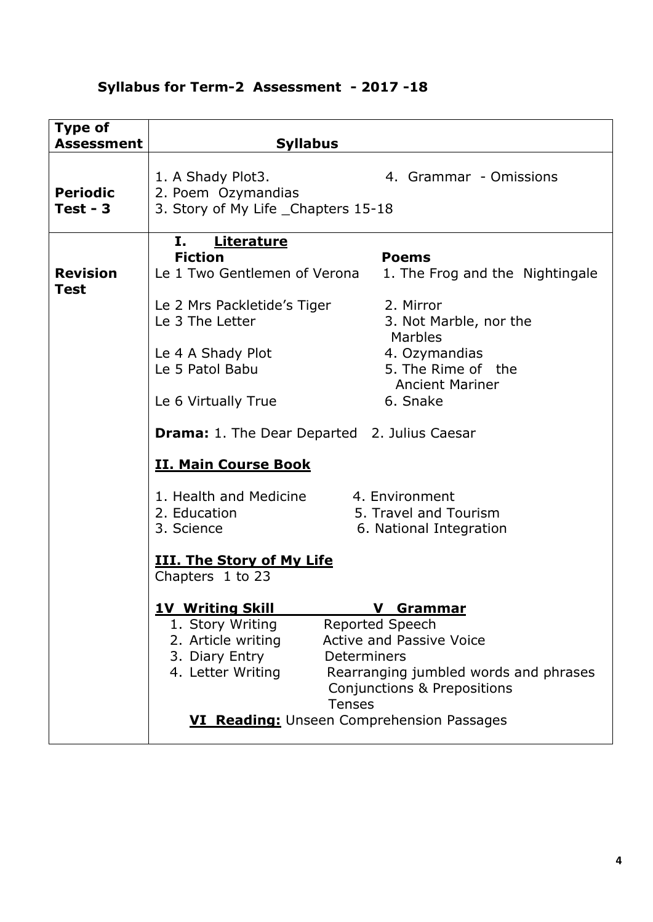| <b>Type of</b><br><b>Assessment</b> | <b>Syllabus</b>                                                                                                                                                                                                                                                                                                                                                                                                                                                                                                                            |  |  |
|-------------------------------------|--------------------------------------------------------------------------------------------------------------------------------------------------------------------------------------------------------------------------------------------------------------------------------------------------------------------------------------------------------------------------------------------------------------------------------------------------------------------------------------------------------------------------------------------|--|--|
| <b>Periodic</b><br>$Test - 3$       | 1. A Shady Plot3.<br>4. Grammar - Omissions<br>2. Poem Ozymandias<br>3. Story of My Life _Chapters 15-18                                                                                                                                                                                                                                                                                                                                                                                                                                   |  |  |
| <b>Revision</b><br><b>Test</b>      | <b>Literature</b><br>Ι.<br><b>Fiction</b><br><b>Poems</b><br>Le 1 Two Gentlemen of Verona<br>1. The Frog and the Nightingale<br>2. Mirror<br>Le 2 Mrs Packletide's Tiger<br>Le 3 The Letter<br>3. Not Marble, nor the<br>Marbles<br>4. Ozymandias<br>Le 4 A Shady Plot<br>5. The Rime of the<br>Le 5 Patol Babu<br><b>Ancient Mariner</b><br>6. Snake<br>Le 6 Virtually True<br><b>Drama:</b> 1. The Dear Departed 2. Julius Caesar<br><b>II. Main Course Book</b>                                                                         |  |  |
|                                     | 1. Health and Medicine<br>4. Environment<br>5. Travel and Tourism<br>2. Education<br>3. Science<br>6. National Integration<br><b>III. The Story of My Life</b><br>Chapters 1 to 23<br><b>1V Writing Skill</b><br>$\mathbf v$<br><u>Grammar</u><br>1. Story Writing<br>Reported Speech<br><b>Active and Passive Voice</b><br>2. Article writing<br>3. Diary Entry<br>Determiners<br>4. Letter Writing<br>Rearranging jumbled words and phrases<br>Conjunctions & Prepositions<br><b>Tenses</b><br>VI Reading: Unseen Comprehension Passages |  |  |

# **Syllabus for Term-2 Assessment - 2017 -18**